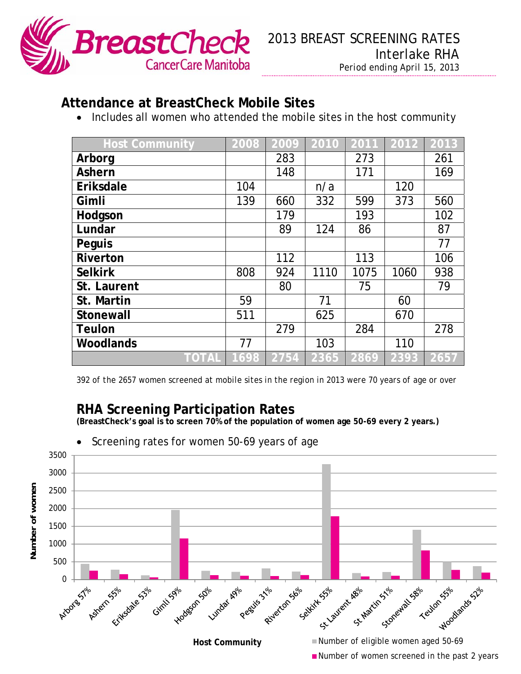

## **Attendance at BreastCheck Mobile Sites**

• Includes all women who attended the mobile sites in the host community

| <b>Host Community</b> | 2008 | 2009 | 2010 | 2011 | 2012 | 2013 |
|-----------------------|------|------|------|------|------|------|
| Arborg                |      | 283  |      | 273  |      | 261  |
| <b>Ashern</b>         |      | 148  |      | 171  |      | 169  |
| Eriksdale             | 104  |      | n/a  |      | 120  |      |
| Gimli                 | 139  | 660  | 332  | 599  | 373  | 560  |
| Hodgson               |      | 179  |      | 193  |      | 102  |
| Lundar                |      | 89   | 124  | 86   |      | 87   |
| Peguis                |      |      |      |      |      | 77   |
| <b>Riverton</b>       |      | 112  |      | 113  |      | 106  |
| <b>Selkirk</b>        | 808  | 924  | 1110 | 1075 | 1060 | 938  |
| St. Laurent           |      | 80   |      | 75   |      | 79   |
| St. Martin            | 59   |      | 71   |      | 60   |      |
| Stonewall             | 511  |      | 625  |      | 670  |      |
| <b>Teulon</b>         |      | 279  |      | 284  |      | 278  |
| <b>Woodlands</b>      | 77   |      | 103  |      | 110  |      |
| TOTAL                 | 1698 | 2754 | 2365 | 2869 | 2393 | 2657 |

*392 of the 2657 women screened at mobile sites in the region in 2013 were 70 years of age or over* 

## **RHA Screening Participation Rates**

**(BreastCheck's goal is to screen 70% of the population of women age 50-69 every 2 years.)** 



Screening rates for women 50-69 years of age